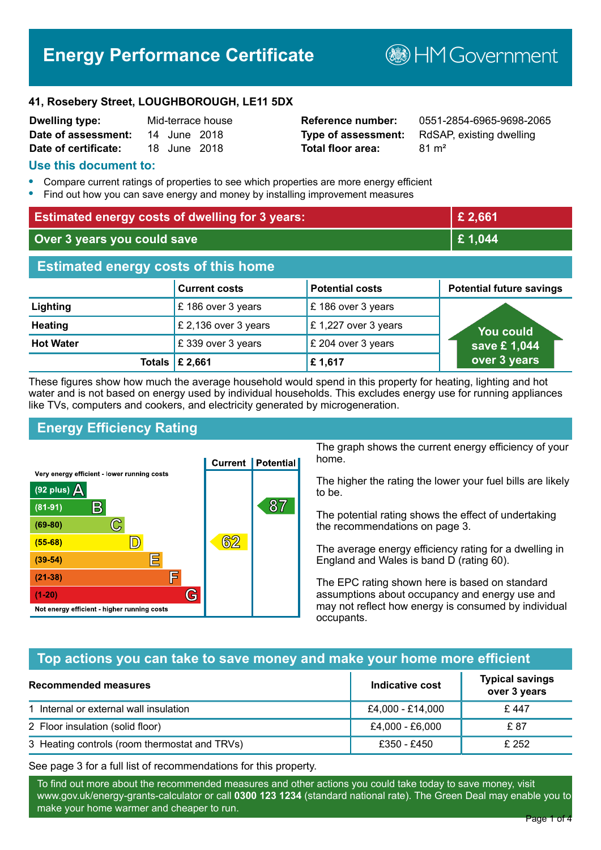# **Energy Performance Certificate**

**B**HM Government

#### **41, Rosebery Street, LOUGHBOROUGH, LE11 5DX**

| <b>Dwelling type:</b> |              | Mid-terrace house |
|-----------------------|--------------|-------------------|
| Date of assessment:   | 14 June 2018 |                   |
| Date of certificate:  | 18 June 2018 |                   |

# **Total floor area:** 81 m<sup>2</sup>

**Reference number:** 0551-2854-6965-9698-2065 **Type of assessment:** RdSAP, existing dwelling

### **Use this document to:**

- **•** Compare current ratings of properties to see which properties are more energy efficient
- **•** Find out how you can save energy and money by installing improvement measures

| <b>Estimated energy costs of dwelling for 3 years:</b> |                           |                        | £ 2,661                         |
|--------------------------------------------------------|---------------------------|------------------------|---------------------------------|
| Over 3 years you could save                            |                           | £1,044                 |                                 |
| <b>Estimated energy costs of this home</b>             |                           |                        |                                 |
|                                                        | <b>Current costs</b>      | <b>Potential costs</b> | <b>Potential future savings</b> |
| Lighting                                               | £186 over 3 years         | £186 over 3 years      |                                 |
| <b>Heating</b>                                         | £ 2,136 over 3 years      | £1,227 over 3 years    | You could                       |
| <b>Hot Water</b>                                       | £339 over 3 years         | £ 204 over 3 years     | save £1,044                     |
|                                                        | Totals $\mathsf{E}$ 2,661 | £1,617                 | over 3 years                    |

These figures show how much the average household would spend in this property for heating, lighting and hot water and is not based on energy used by individual households. This excludes energy use for running appliances like TVs, computers and cookers, and electricity generated by microgeneration.

# **Energy Efficiency Rating**



The graph shows the current energy efficiency of your home.

The higher the rating the lower your fuel bills are likely to be.

The potential rating shows the effect of undertaking the recommendations on page 3.

The average energy efficiency rating for a dwelling in England and Wales is band D (rating 60).

The EPC rating shown here is based on standard assumptions about occupancy and energy use and may not reflect how energy is consumed by individual occupants.

# **Top actions you can take to save money and make your home more efficient**

| Recommended measures                          | Indicative cost  | <b>Typical savings</b><br>over 3 years |
|-----------------------------------------------|------------------|----------------------------------------|
| 1 Internal or external wall insulation        | £4,000 - £14,000 | £447                                   |
| 2 Floor insulation (solid floor)              | £4,000 - £6,000  | £ 87                                   |
| 3 Heating controls (room thermostat and TRVs) | £350 - £450      | £ 252                                  |

See page 3 for a full list of recommendations for this property.

To find out more about the recommended measures and other actions you could take today to save money, visit www.gov.uk/energy-grants-calculator or call **0300 123 1234** (standard national rate). The Green Deal may enable you to make your home warmer and cheaper to run.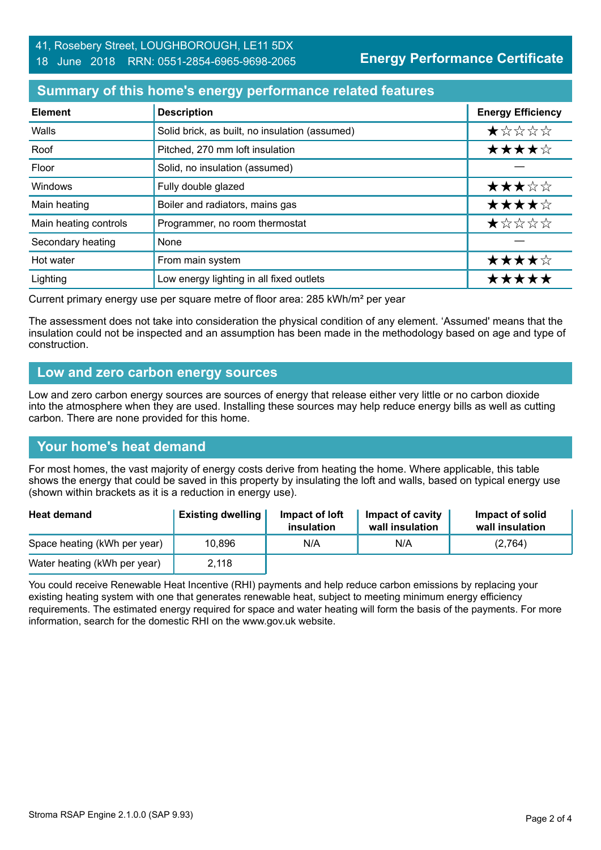# **Summary of this home's energy performance related features**

| <b>Element</b>        | <b>Description</b>                             | <b>Energy Efficiency</b> |
|-----------------------|------------------------------------------------|--------------------------|
| Walls                 | Solid brick, as built, no insulation (assumed) | *****                    |
| Roof                  | Pitched, 270 mm loft insulation                | ★★★★☆                    |
| Floor                 | Solid, no insulation (assumed)                 |                          |
| Windows               | Fully double glazed                            | ★★★☆☆                    |
| Main heating          | Boiler and radiators, mains gas                | ★★★★☆                    |
| Main heating controls | Programmer, no room thermostat                 | ★☆☆☆☆                    |
| Secondary heating     | None                                           |                          |
| Hot water             | From main system                               | ★★★★☆                    |
| Lighting              | Low energy lighting in all fixed outlets       | *****                    |

Current primary energy use per square metre of floor area: 285 kWh/m² per year

The assessment does not take into consideration the physical condition of any element. 'Assumed' means that the insulation could not be inspected and an assumption has been made in the methodology based on age and type of construction.

#### **Low and zero carbon energy sources**

Low and zero carbon energy sources are sources of energy that release either very little or no carbon dioxide into the atmosphere when they are used. Installing these sources may help reduce energy bills as well as cutting carbon. There are none provided for this home.

# **Your home's heat demand**

For most homes, the vast majority of energy costs derive from heating the home. Where applicable, this table shows the energy that could be saved in this property by insulating the loft and walls, based on typical energy use (shown within brackets as it is a reduction in energy use).

| <b>Heat demand</b>           | <b>Existing dwelling</b> | Impact of loft<br>insulation | Impact of cavity<br>wall insulation | Impact of solid<br>wall insulation |
|------------------------------|--------------------------|------------------------------|-------------------------------------|------------------------------------|
| Space heating (kWh per year) | 10,896                   | N/A                          | N/A                                 | (2,764)                            |
| Water heating (kWh per year) | 2,118                    |                              |                                     |                                    |

You could receive Renewable Heat Incentive (RHI) payments and help reduce carbon emissions by replacing your existing heating system with one that generates renewable heat, subject to meeting minimum energy efficiency requirements. The estimated energy required for space and water heating will form the basis of the payments. For more information, search for the domestic RHI on the www.gov.uk website.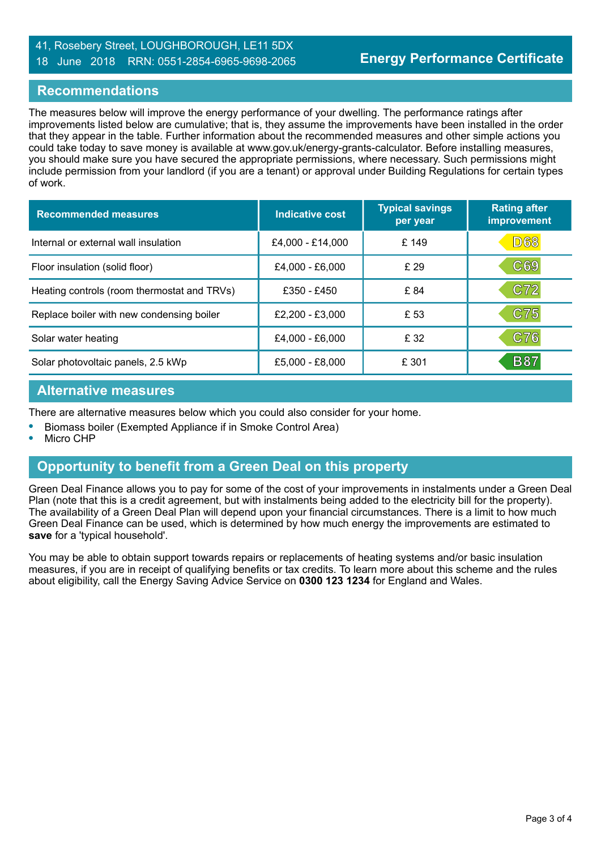## 41, Rosebery Street, LOUGHBOROUGH, LE11 5DX 18 June 2018 RRN: 0551-2854-6965-9698-2065

## **Recommendations**

The measures below will improve the energy performance of your dwelling. The performance ratings after improvements listed below are cumulative; that is, they assume the improvements have been installed in the order that they appear in the table. Further information about the recommended measures and other simple actions you could take today to save money is available at www.gov.uk/energy-grants-calculator. Before installing measures, you should make sure you have secured the appropriate permissions, where necessary. Such permissions might include permission from your landlord (if you are a tenant) or approval under Building Regulations for certain types of work.

| <b>Recommended measures</b>                 | Indicative cost  | <b>Typical savings</b><br>per year | <b>Rating after</b><br>improvement |
|---------------------------------------------|------------------|------------------------------------|------------------------------------|
| Internal or external wall insulation        | £4,000 - £14,000 | £ 149                              | D68                                |
| Floor insulation (solid floor)              | £4,000 - £6,000  | £29                                | C69                                |
| Heating controls (room thermostat and TRVs) | £350 - £450      | £ 84                               | C72                                |
| Replace boiler with new condensing boiler   | £2,200 - £3,000  | £53                                | C75                                |
| Solar water heating                         | £4,000 - £6,000  | £ 32                               | C76                                |
| Solar photovoltaic panels, 2.5 kWp          | £5,000 - £8,000  | £ 301                              | <b>B87</b>                         |

#### **Alternative measures**

There are alternative measures below which you could also consider for your home.

- **•** Biomass boiler (Exempted Appliance if in Smoke Control Area)
- **•** Micro CHP

#### **Opportunity to benefit from a Green Deal on this property**

Green Deal Finance allows you to pay for some of the cost of your improvements in instalments under a Green Deal Plan (note that this is a credit agreement, but with instalments being added to the electricity bill for the property). The availability of a Green Deal Plan will depend upon your financial circumstances. There is a limit to how much Green Deal Finance can be used, which is determined by how much energy the improvements are estimated to **save** for a 'typical household'.

You may be able to obtain support towards repairs or replacements of heating systems and/or basic insulation measures, if you are in receipt of qualifying benefits or tax credits. To learn more about this scheme and the rules about eligibility, call the Energy Saving Advice Service on **0300 123 1234** for England and Wales.